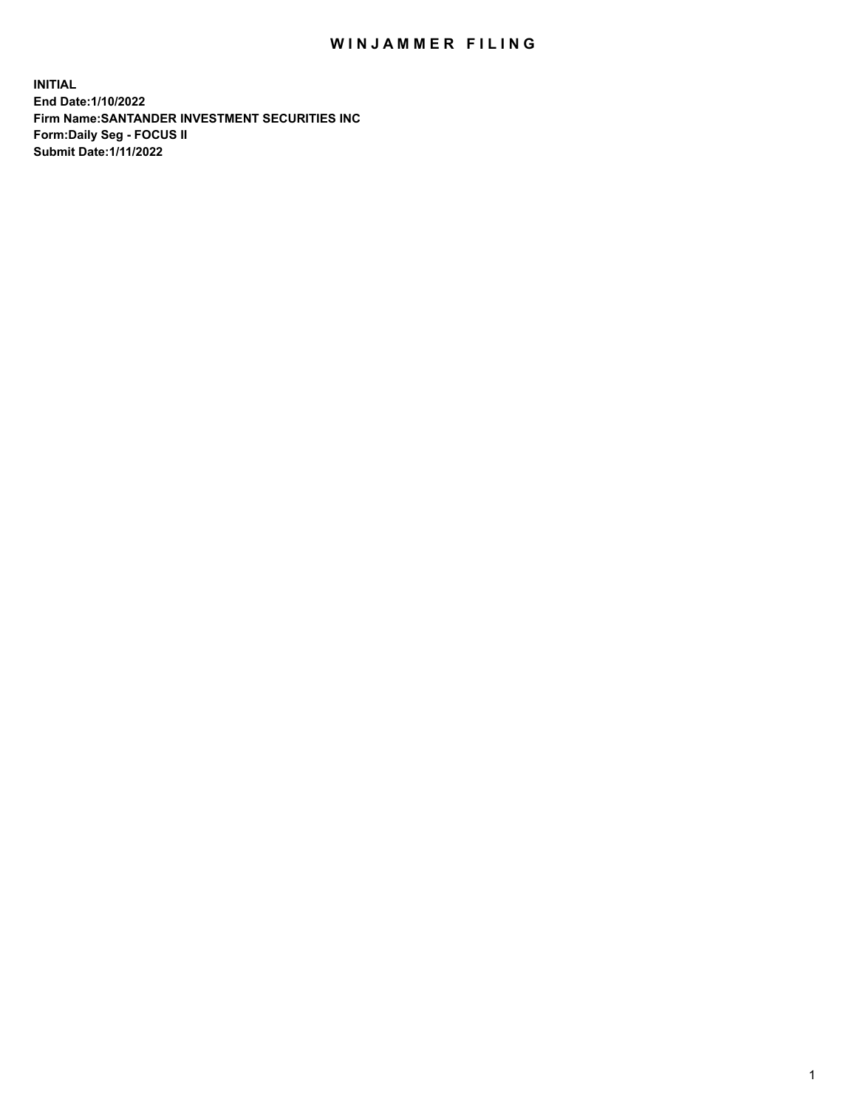## WIN JAMMER FILING

**INITIAL End Date:1/10/2022 Firm Name:SANTANDER INVESTMENT SECURITIES INC Form:Daily Seg - FOCUS II Submit Date:1/11/2022**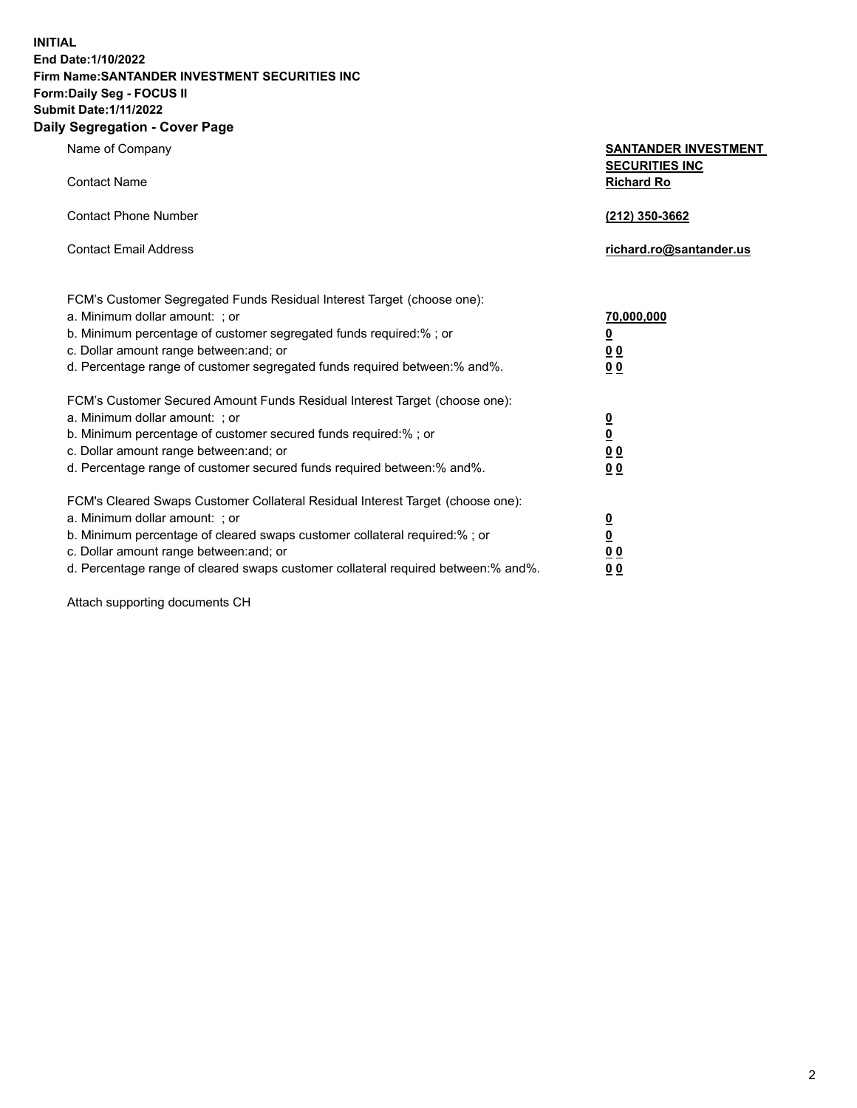**INITIAL End Date:1/10/2022 Firm Name:SANTANDER INVESTMENT SECURITIES INC Form:Daily Seg - FOCUS II Submit Date:1/11/2022 Daily Segregation - Cover Page**

| 0.91                                                                              |                                                      |  |  |  |  |
|-----------------------------------------------------------------------------------|------------------------------------------------------|--|--|--|--|
| Name of Company                                                                   | <b>SANTANDER INVESTMENT</b><br><b>SECURITIES INC</b> |  |  |  |  |
| <b>Contact Name</b>                                                               | <b>Richard Ro</b>                                    |  |  |  |  |
| <b>Contact Phone Number</b>                                                       | (212) 350-3662                                       |  |  |  |  |
| <b>Contact Email Address</b>                                                      | richard.ro@santander.us                              |  |  |  |  |
| FCM's Customer Segregated Funds Residual Interest Target (choose one):            |                                                      |  |  |  |  |
| a. Minimum dollar amount: ; or                                                    | 70,000,000                                           |  |  |  |  |
| b. Minimum percentage of customer segregated funds required:%; or                 | <u>0</u>                                             |  |  |  |  |
| c. Dollar amount range between: and; or                                           | 0 <sub>0</sub>                                       |  |  |  |  |
| d. Percentage range of customer segregated funds required between: % and %.       | 0 <sub>0</sub>                                       |  |  |  |  |
| FCM's Customer Secured Amount Funds Residual Interest Target (choose one):        |                                                      |  |  |  |  |
| a. Minimum dollar amount: ; or                                                    | $\overline{\mathbf{0}}$                              |  |  |  |  |
| b. Minimum percentage of customer secured funds required:%; or                    | $\overline{\mathbf{0}}$                              |  |  |  |  |
| c. Dollar amount range between: and; or                                           | 0 <sub>0</sub>                                       |  |  |  |  |
| d. Percentage range of customer secured funds required between: % and %.          | 0 <sub>0</sub>                                       |  |  |  |  |
| FCM's Cleared Swaps Customer Collateral Residual Interest Target (choose one):    |                                                      |  |  |  |  |
| a. Minimum dollar amount: ; or                                                    | $\overline{\mathbf{0}}$                              |  |  |  |  |
| b. Minimum percentage of cleared swaps customer collateral required:%; or         | $\underline{\mathbf{0}}$                             |  |  |  |  |
| c. Dollar amount range between: and; or                                           | 00                                                   |  |  |  |  |
| d. Percentage range of cleared swaps customer collateral required between:% and%. | 00                                                   |  |  |  |  |

Attach supporting documents CH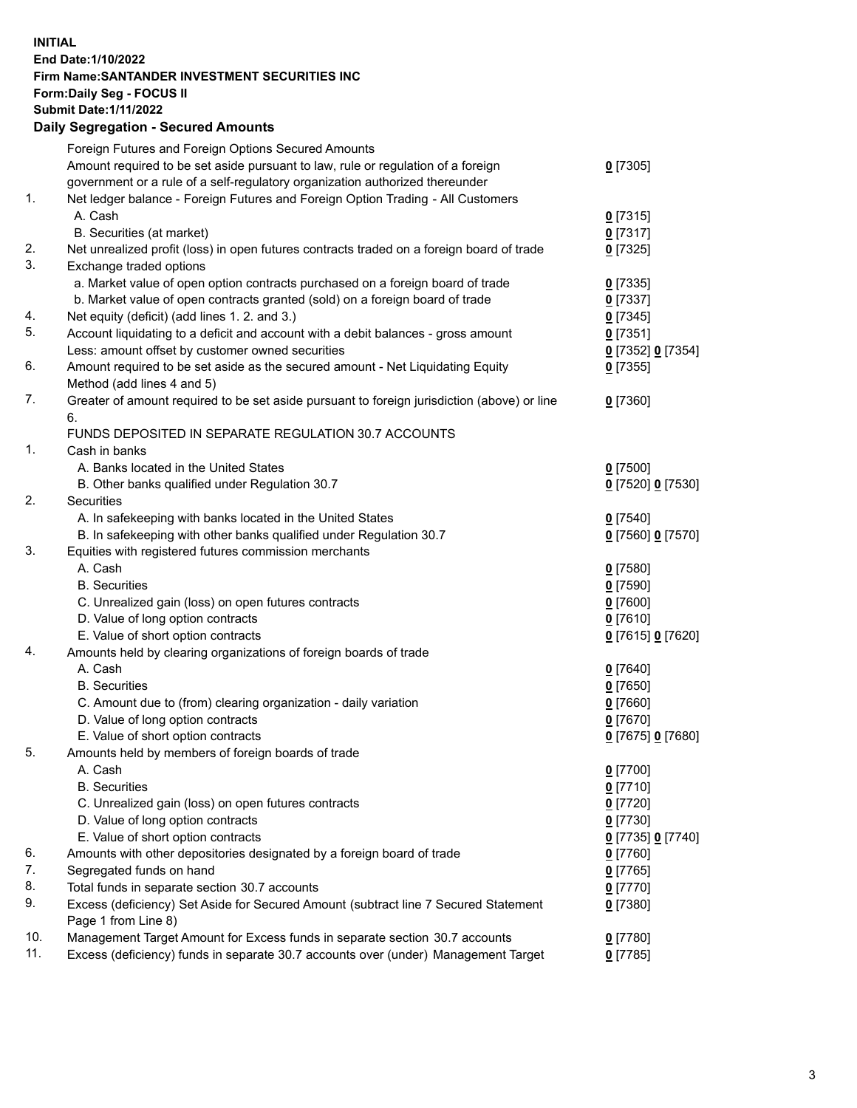## **INITIAL End Date:1/10/2022 Firm Name:SANTANDER INVESTMENT SECURITIES INC Form:Daily Seg - FOCUS II Submit Date:1/11/2022 Daily Segregation - Secured Amounts**

|     | Foreign Futures and Foreign Options Secured Amounts                                         |                   |
|-----|---------------------------------------------------------------------------------------------|-------------------|
|     | Amount required to be set aside pursuant to law, rule or regulation of a foreign            | $0$ [7305]        |
|     | government or a rule of a self-regulatory organization authorized thereunder                |                   |
| 1.  | Net ledger balance - Foreign Futures and Foreign Option Trading - All Customers             |                   |
|     | A. Cash                                                                                     | $0$ [7315]        |
|     | B. Securities (at market)                                                                   | $0$ [7317]        |
| 2.  | Net unrealized profit (loss) in open futures contracts traded on a foreign board of trade   | $0$ [7325]        |
| 3.  | Exchange traded options                                                                     |                   |
|     | a. Market value of open option contracts purchased on a foreign board of trade              | $0$ [7335]        |
|     | b. Market value of open contracts granted (sold) on a foreign board of trade                | $0$ [7337]        |
| 4.  | Net equity (deficit) (add lines 1. 2. and 3.)                                               | $0$ [7345]        |
| 5.  | Account liquidating to a deficit and account with a debit balances - gross amount           | $0$ [7351]        |
|     | Less: amount offset by customer owned securities                                            | 0 [7352] 0 [7354] |
| 6.  | Amount required to be set aside as the secured amount - Net Liquidating Equity              | $0$ [7355]        |
|     | Method (add lines 4 and 5)                                                                  |                   |
| 7.  | Greater of amount required to be set aside pursuant to foreign jurisdiction (above) or line | $0$ [7360]        |
|     | 6.                                                                                          |                   |
|     | FUNDS DEPOSITED IN SEPARATE REGULATION 30.7 ACCOUNTS                                        |                   |
| 1.  | Cash in banks                                                                               |                   |
|     | A. Banks located in the United States                                                       | $0$ [7500]        |
|     | B. Other banks qualified under Regulation 30.7                                              | 0 [7520] 0 [7530] |
| 2.  | Securities                                                                                  |                   |
|     | A. In safekeeping with banks located in the United States                                   | $0$ [7540]        |
|     | B. In safekeeping with other banks qualified under Regulation 30.7                          | 0 [7560] 0 [7570] |
| 3.  | Equities with registered futures commission merchants                                       |                   |
|     | A. Cash                                                                                     | $0$ [7580]        |
|     | <b>B.</b> Securities                                                                        | $0$ [7590]        |
|     | C. Unrealized gain (loss) on open futures contracts                                         | $0$ [7600]        |
|     | D. Value of long option contracts                                                           | $0$ [7610]        |
|     | E. Value of short option contracts                                                          | 0 [7615] 0 [7620] |
| 4.  | Amounts held by clearing organizations of foreign boards of trade                           |                   |
|     | A. Cash                                                                                     | $0$ [7640]        |
|     | <b>B.</b> Securities                                                                        | $0$ [7650]        |
|     | C. Amount due to (from) clearing organization - daily variation                             | $0$ [7660]        |
|     | D. Value of long option contracts                                                           | $0$ [7670]        |
|     | E. Value of short option contracts                                                          | 0 [7675] 0 [7680] |
| 5.  | Amounts held by members of foreign boards of trade                                          |                   |
|     | A. Cash                                                                                     | $0$ [7700]        |
|     | <b>B.</b> Securities                                                                        | $0$ [7710]        |
|     | C. Unrealized gain (loss) on open futures contracts                                         | $0$ [7720]        |
|     | D. Value of long option contracts                                                           | $0$ [7730]        |
|     | E. Value of short option contracts                                                          | 0 [7735] 0 [7740] |
| 6.  | Amounts with other depositories designated by a foreign board of trade                      | $0$ [7760]        |
| 7.  | Segregated funds on hand                                                                    | $0$ [7765]        |
| 8.  | Total funds in separate section 30.7 accounts                                               | $0$ [7770]        |
| 9.  | Excess (deficiency) Set Aside for Secured Amount (subtract line 7 Secured Statement         | $0$ [7380]        |
|     | Page 1 from Line 8)                                                                         |                   |
| 10. | Management Target Amount for Excess funds in separate section 30.7 accounts                 | $0$ [7780]        |
| 11. | Excess (deficiency) funds in separate 30.7 accounts over (under) Management Target          | $0$ [7785]        |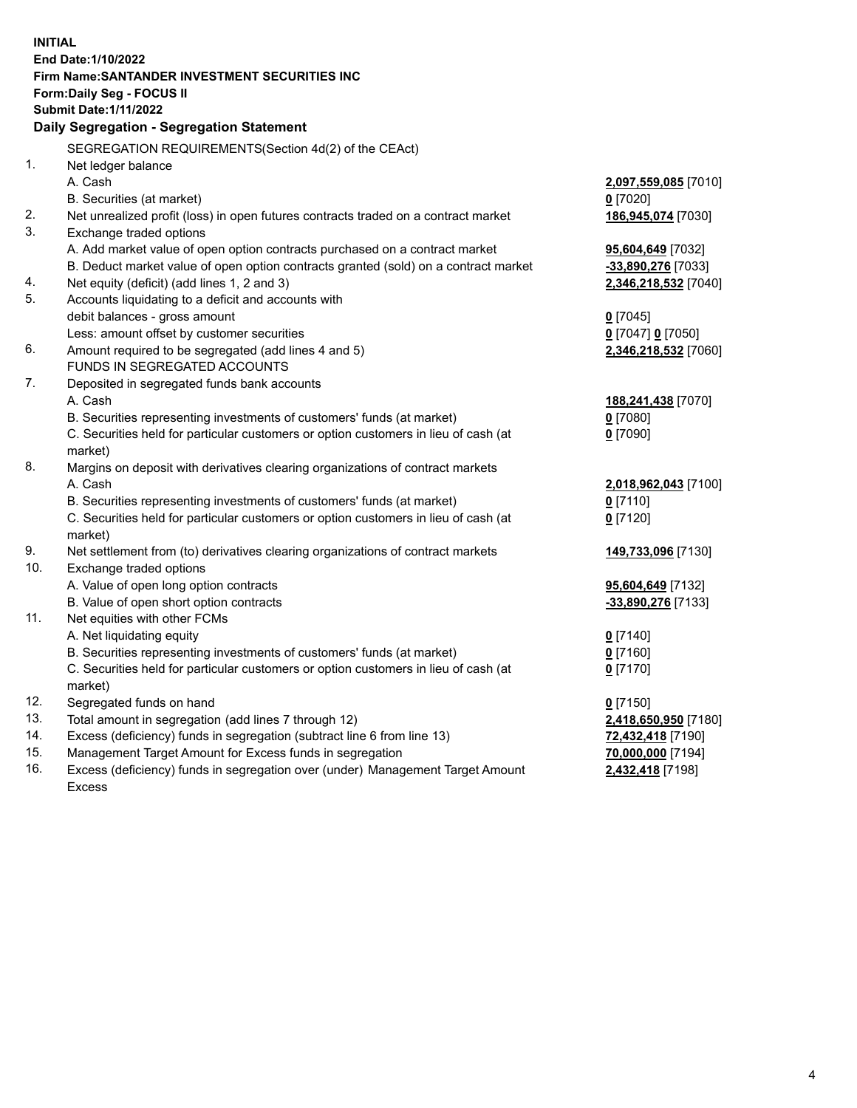| <b>INITIAL</b> |                                                                                                                                                               |                          |  |  |  |
|----------------|---------------------------------------------------------------------------------------------------------------------------------------------------------------|--------------------------|--|--|--|
|                | End Date: 1/10/2022                                                                                                                                           |                          |  |  |  |
|                | Firm Name:SANTANDER INVESTMENT SECURITIES INC                                                                                                                 |                          |  |  |  |
|                | Form: Daily Seg - FOCUS II                                                                                                                                    |                          |  |  |  |
|                | <b>Submit Date: 1/11/2022</b>                                                                                                                                 |                          |  |  |  |
|                | Daily Segregation - Segregation Statement                                                                                                                     |                          |  |  |  |
|                | SEGREGATION REQUIREMENTS(Section 4d(2) of the CEAct)                                                                                                          |                          |  |  |  |
| 1.             | Net ledger balance                                                                                                                                            |                          |  |  |  |
|                | A. Cash                                                                                                                                                       | 2,097,559,085 [7010]     |  |  |  |
|                | B. Securities (at market)                                                                                                                                     | $0$ [7020]               |  |  |  |
| 2.             | Net unrealized profit (loss) in open futures contracts traded on a contract market                                                                            | 186,945,074 [7030]       |  |  |  |
| 3.             | Exchange traded options                                                                                                                                       |                          |  |  |  |
|                | A. Add market value of open option contracts purchased on a contract market                                                                                   | 95,604,649 [7032]        |  |  |  |
|                | B. Deduct market value of open option contracts granted (sold) on a contract market                                                                           | -33,890,276 [7033]       |  |  |  |
| 4.             | Net equity (deficit) (add lines 1, 2 and 3)                                                                                                                   | 2,346,218,532 [7040]     |  |  |  |
| 5.             | Accounts liquidating to a deficit and accounts with                                                                                                           |                          |  |  |  |
|                | debit balances - gross amount                                                                                                                                 | $0$ [7045]               |  |  |  |
|                | Less: amount offset by customer securities                                                                                                                    | 0 [7047] 0 [7050]        |  |  |  |
| 6.             | Amount required to be segregated (add lines 4 and 5)                                                                                                          | 2,346,218,532 [7060]     |  |  |  |
|                | FUNDS IN SEGREGATED ACCOUNTS                                                                                                                                  |                          |  |  |  |
| 7.             | Deposited in segregated funds bank accounts                                                                                                                   |                          |  |  |  |
|                | A. Cash                                                                                                                                                       | 188,241,438 [7070]       |  |  |  |
|                | B. Securities representing investments of customers' funds (at market)                                                                                        | $0$ [7080]               |  |  |  |
|                | C. Securities held for particular customers or option customers in lieu of cash (at                                                                           | $0$ [7090]               |  |  |  |
|                | market)                                                                                                                                                       |                          |  |  |  |
| 8.             | Margins on deposit with derivatives clearing organizations of contract markets                                                                                |                          |  |  |  |
|                | A. Cash                                                                                                                                                       | 2,018,962,043 [7100]     |  |  |  |
|                | B. Securities representing investments of customers' funds (at market)                                                                                        | $0$ [7110]               |  |  |  |
|                | C. Securities held for particular customers or option customers in lieu of cash (at                                                                           | $0$ [7120]               |  |  |  |
|                | market)                                                                                                                                                       |                          |  |  |  |
| 9.             | Net settlement from (to) derivatives clearing organizations of contract markets                                                                               | 149,733,096 [7130]       |  |  |  |
| 10.            | Exchange traded options                                                                                                                                       |                          |  |  |  |
|                | A. Value of open long option contracts                                                                                                                        | 95,604,649 [7132]        |  |  |  |
|                | B. Value of open short option contracts                                                                                                                       | -33,890,276 [7133]       |  |  |  |
| 11.            | Net equities with other FCMs                                                                                                                                  |                          |  |  |  |
|                | A. Net liquidating equity                                                                                                                                     | $0$ [7140]               |  |  |  |
|                | B. Securities representing investments of customers' funds (at market)<br>C. Securities held for particular customers or option customers in lieu of cash (at | $0$ [7160]<br>$0$ [7170] |  |  |  |
|                | market)                                                                                                                                                       |                          |  |  |  |
| 12.            | Segregated funds on hand                                                                                                                                      | $0$ [7150]               |  |  |  |
| 13.            | Total amount in segregation (add lines 7 through 12)                                                                                                          | 2,418,650,950 [7180]     |  |  |  |
| 14.            | Excess (deficiency) funds in segregation (subtract line 6 from line 13)                                                                                       | 72,432,418 [7190]        |  |  |  |
| 15.            | Management Target Amount for Excess funds in segregation                                                                                                      | 70,000,000 [7194]        |  |  |  |
| 16.            | Excess (deficiency) funds in segregation over (under) Management Target Amount                                                                                | 2,432,418 [7198]         |  |  |  |
|                | <b>Excess</b>                                                                                                                                                 |                          |  |  |  |